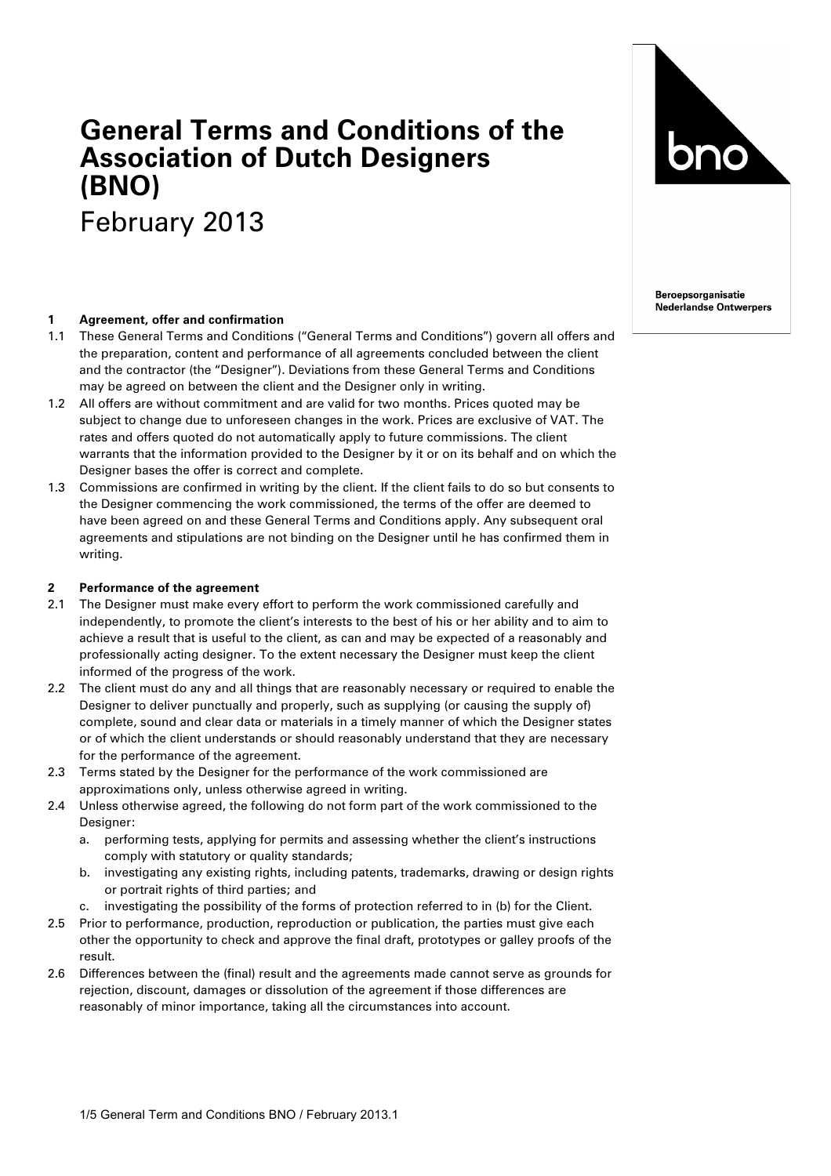# **General Terms and Conditions of the Association of Dutch Designers (BNO)** February 2013

# **1 Agreement, offer and confirmation**

- 1.1 These General Terms and Conditions ("General Terms and Conditions") govern all offers and the preparation, content and performance of all agreements concluded between the client and the contractor (the "Designer"). Deviations from these General Terms and Conditions may be agreed on between the client and the Designer only in writing.
- 1.2 All offers are without commitment and are valid for two months. Prices quoted may be subject to change due to unforeseen changes in the work. Prices are exclusive of VAT. The rates and offers quoted do not automatically apply to future commissions. The client warrants that the information provided to the Designer by it or on its behalf and on which the Designer bases the offer is correct and complete.
- 1.3 Commissions are confirmed in writing by the client. If the client fails to do so but consents to the Designer commencing the work commissioned, the terms of the offer are deemed to have been agreed on and these General Terms and Conditions apply. Any subsequent oral agreements and stipulations are not binding on the Designer until he has confirmed them in writing.

#### **2 Performance of the agreement**

- 2.1 The Designer must make every effort to perform the work commissioned carefully and independently, to promote the client's interests to the best of his or her ability and to aim to achieve a result that is useful to the client, as can and may be expected of a reasonably and professionally acting designer. To the extent necessary the Designer must keep the client informed of the progress of the work.
- 2.2 The client must do any and all things that are reasonably necessary or required to enable the Designer to deliver punctually and properly, such as supplying (or causing the supply of) complete, sound and clear data or materials in a timely manner of which the Designer states or of which the client understands or should reasonably understand that they are necessary for the performance of the agreement.
- 2.3 Terms stated by the Designer for the performance of the work commissioned are approximations only, unless otherwise agreed in writing.
- 2.4 Unless otherwise agreed, the following do not form part of the work commissioned to the Designer:
	- a. performing tests, applying for permits and assessing whether the client's instructions comply with statutory or quality standards;
	- b. investigating any existing rights, including patents, trademarks, drawing or design rights or portrait rights of third parties; and
	- c. investigating the possibility of the forms of protection referred to in (b) for the Client.
- 2.5 Prior to performance, production, reproduction or publication, the parties must give each other the opportunity to check and approve the final draft, prototypes or galley proofs of the result.
- 2.6 Differences between the (final) result and the agreements made cannot serve as grounds for rejection, discount, damages or dissolution of the agreement if those differences are reasonably of minor importance, taking all the circumstances into account.



**Beroepsorganisatie Nederlandse Ontwerpers**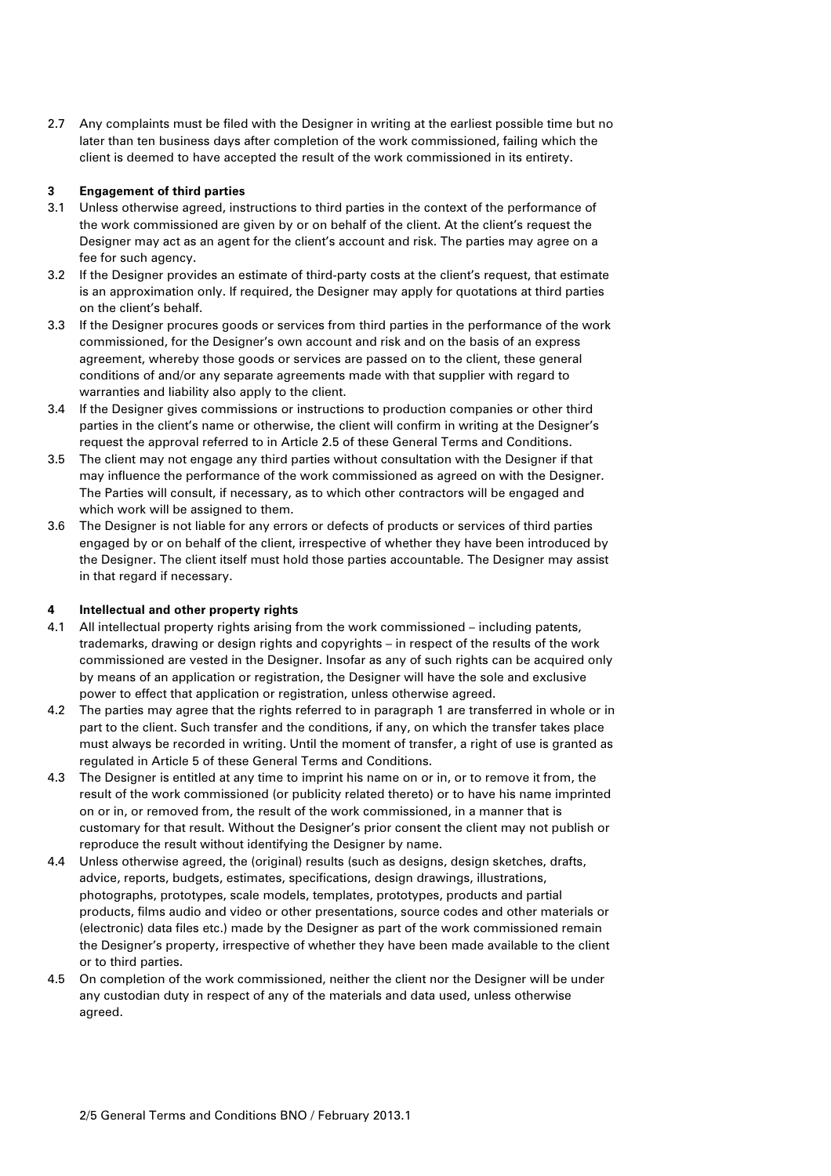2.7 Any complaints must be filed with the Designer in writing at the earliest possible time but no later than ten business days after completion of the work commissioned, failing which the client is deemed to have accepted the result of the work commissioned in its entirety.

## **3 Engagement of third parties**

- 3.1 Unless otherwise agreed, instructions to third parties in the context of the performance of the work commissioned are given by or on behalf of the client. At the client's request the Designer may act as an agent for the client's account and risk. The parties may agree on a fee for such agency.
- 3.2 If the Designer provides an estimate of third-party costs at the client's request, that estimate is an approximation only. If required, the Designer may apply for quotations at third parties on the client's behalf.
- 3.3 If the Designer procures goods or services from third parties in the performance of the work commissioned, for the Designer's own account and risk and on the basis of an express agreement, whereby those goods or services are passed on to the client, these general conditions of and/or any separate agreements made with that supplier with regard to warranties and liability also apply to the client.
- 3.4 If the Designer gives commissions or instructions to production companies or other third parties in the client's name or otherwise, the client will confirm in writing at the Designer's request the approval referred to in Article 2.5 of these General Terms and Conditions.
- 3.5 The client may not engage any third parties without consultation with the Designer if that may influence the performance of the work commissioned as agreed on with the Designer. The Parties will consult, if necessary, as to which other contractors will be engaged and which work will be assigned to them.
- 3.6 The Designer is not liable for any errors or defects of products or services of third parties engaged by or on behalf of the client, irrespective of whether they have been introduced by the Designer. The client itself must hold those parties accountable. The Designer may assist in that regard if necessary.

# **4 Intellectual and other property rights**

- 4.1 All intellectual property rights arising from the work commissioned including patents, trademarks, drawing or design rights and copyrights – in respect of the results of the work commissioned are vested in the Designer. Insofar as any of such rights can be acquired only by means of an application or registration, the Designer will have the sole and exclusive power to effect that application or registration, unless otherwise agreed.
- 4.2 The parties may agree that the rights referred to in paragraph 1 are transferred in whole or in part to the client. Such transfer and the conditions, if any, on which the transfer takes place must always be recorded in writing. Until the moment of transfer, a right of use is granted as regulated in Article 5 of these General Terms and Conditions.
- 4.3 The Designer is entitled at any time to imprint his name on or in, or to remove it from, the result of the work commissioned (or publicity related thereto) or to have his name imprinted on or in, or removed from, the result of the work commissioned, in a manner that is customary for that result. Without the Designer's prior consent the client may not publish or reproduce the result without identifying the Designer by name.
- 4.4 Unless otherwise agreed, the (original) results (such as designs, design sketches, drafts, advice, reports, budgets, estimates, specifications, design drawings, illustrations, photographs, prototypes, scale models, templates, prototypes, products and partial products, films audio and video or other presentations, source codes and other materials or (electronic) data files etc.) made by the Designer as part of the work commissioned remain the Designer's property, irrespective of whether they have been made available to the client or to third parties.
- 4.5 On completion of the work commissioned, neither the client nor the Designer will be under any custodian duty in respect of any of the materials and data used, unless otherwise agreed.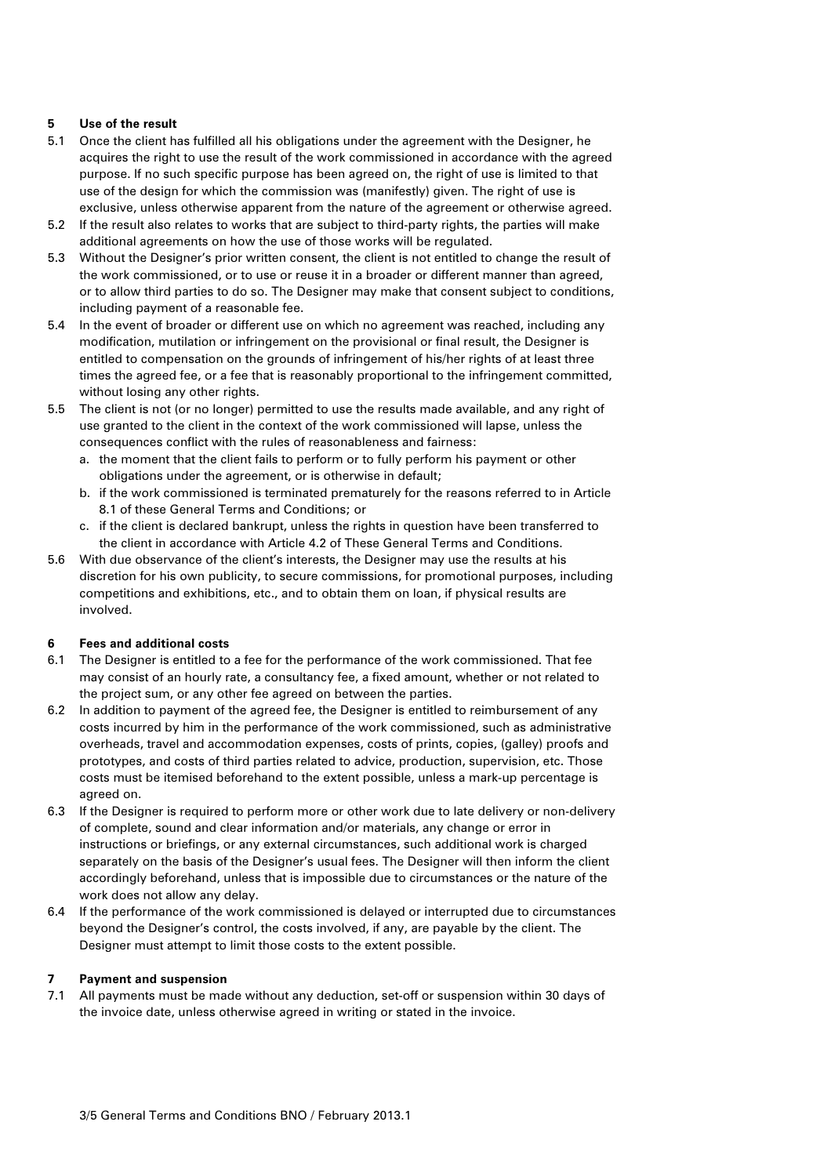# **5 Use of the result**

- 5.1 Once the client has fulfilled all his obligations under the agreement with the Designer, he acquires the right to use the result of the work commissioned in accordance with the agreed purpose. If no such specific purpose has been agreed on, the right of use is limited to that use of the design for which the commission was (manifestly) given. The right of use is exclusive, unless otherwise apparent from the nature of the agreement or otherwise agreed.
- 5.2 If the result also relates to works that are subject to third-party rights, the parties will make additional agreements on how the use of those works will be regulated.
- 5.3 Without the Designer's prior written consent, the client is not entitled to change the result of the work commissioned, or to use or reuse it in a broader or different manner than agreed, or to allow third parties to do so. The Designer may make that consent subject to conditions, including payment of a reasonable fee.
- 5.4 In the event of broader or different use on which no agreement was reached, including any modification, mutilation or infringement on the provisional or final result, the Designer is entitled to compensation on the grounds of infringement of his/her rights of at least three times the agreed fee, or a fee that is reasonably proportional to the infringement committed, without losing any other rights.
- 5.5 The client is not (or no longer) permitted to use the results made available, and any right of use granted to the client in the context of the work commissioned will lapse, unless the consequences conflict with the rules of reasonableness and fairness:
	- a. the moment that the client fails to perform or to fully perform his payment or other obligations under the agreement, or is otherwise in default;
	- b. if the work commissioned is terminated prematurely for the reasons referred to in Article 8.1 of these General Terms and Conditions; or
	- c. if the client is declared bankrupt, unless the rights in question have been transferred to the client in accordance with Article 4.2 of These General Terms and Conditions.
- 5.6 With due observance of the client's interests, the Designer may use the results at his discretion for his own publicity, to secure commissions, for promotional purposes, including competitions and exhibitions, etc., and to obtain them on loan, if physical results are involved.

# **6 Fees and additional costs**

- 6.1 The Designer is entitled to a fee for the performance of the work commissioned. That fee may consist of an hourly rate, a consultancy fee, a fixed amount, whether or not related to the project sum, or any other fee agreed on between the parties.
- 6.2 In addition to payment of the agreed fee, the Designer is entitled to reimbursement of any costs incurred by him in the performance of the work commissioned, such as administrative overheads, travel and accommodation expenses, costs of prints, copies, (galley) proofs and prototypes, and costs of third parties related to advice, production, supervision, etc. Those costs must be itemised beforehand to the extent possible, unless a mark-up percentage is agreed on.
- 6.3 If the Designer is required to perform more or other work due to late delivery or non-delivery of complete, sound and clear information and/or materials, any change or error in instructions or briefings, or any external circumstances, such additional work is charged separately on the basis of the Designer's usual fees. The Designer will then inform the client accordingly beforehand, unless that is impossible due to circumstances or the nature of the work does not allow any delay.
- 6.4 If the performance of the work commissioned is delayed or interrupted due to circumstances beyond the Designer's control, the costs involved, if any, are payable by the client. The Designer must attempt to limit those costs to the extent possible.

#### **7 Payment and suspension**

7.1 All payments must be made without any deduction, set-off or suspension within 30 days of the invoice date, unless otherwise agreed in writing or stated in the invoice.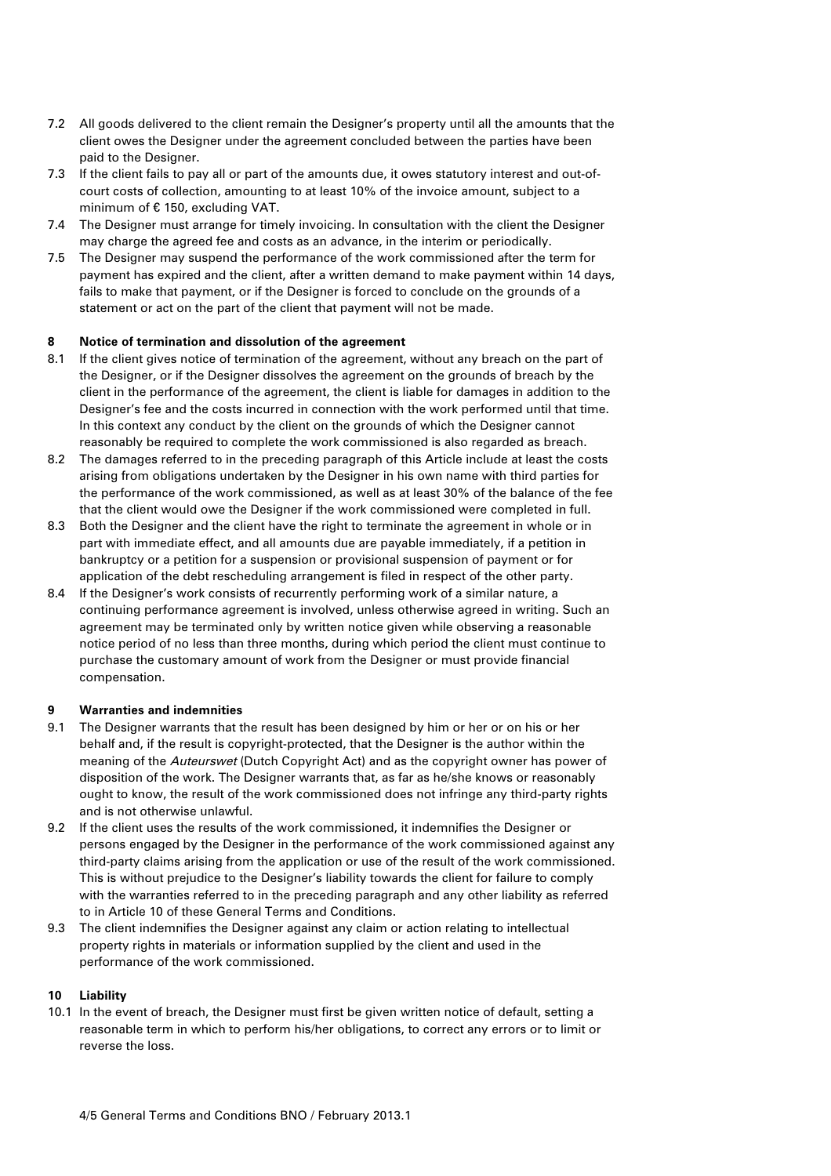- 7.2 All goods delivered to the client remain the Designer's property until all the amounts that the client owes the Designer under the agreement concluded between the parties have been paid to the Designer.
- 7.3 If the client fails to pay all or part of the amounts due, it owes statutory interest and out-ofcourt costs of collection, amounting to at least 10% of the invoice amount, subject to a minimum of € 150, excluding VAT.
- 7.4 The Designer must arrange for timely invoicing. In consultation with the client the Designer may charge the agreed fee and costs as an advance, in the interim or periodically.
- 7.5 The Designer may suspend the performance of the work commissioned after the term for payment has expired and the client, after a written demand to make payment within 14 days, fails to make that payment, or if the Designer is forced to conclude on the grounds of a statement or act on the part of the client that payment will not be made.

### **8 Notice of termination and dissolution of the agreement**

- 8.1 If the client gives notice of termination of the agreement, without any breach on the part of the Designer, or if the Designer dissolves the agreement on the grounds of breach by the client in the performance of the agreement, the client is liable for damages in addition to the Designer's fee and the costs incurred in connection with the work performed until that time. In this context any conduct by the client on the grounds of which the Designer cannot reasonably be required to complete the work commissioned is also regarded as breach.
- 8.2 The damages referred to in the preceding paragraph of this Article include at least the costs arising from obligations undertaken by the Designer in his own name with third parties for the performance of the work commissioned, as well as at least 30% of the balance of the fee that the client would owe the Designer if the work commissioned were completed in full.
- 8.3 Both the Designer and the client have the right to terminate the agreement in whole or in part with immediate effect, and all amounts due are payable immediately, if a petition in bankruptcy or a petition for a suspension or provisional suspension of payment or for application of the debt rescheduling arrangement is filed in respect of the other party.
- 8.4 If the Designer's work consists of recurrently performing work of a similar nature, a continuing performance agreement is involved, unless otherwise agreed in writing. Such an agreement may be terminated only by written notice given while observing a reasonable notice period of no less than three months, during which period the client must continue to purchase the customary amount of work from the Designer or must provide financial compensation.

#### **9 Warranties and indemnities**

- 9.1 The Designer warrants that the result has been designed by him or her or on his or her behalf and, if the result is copyright-protected, that the Designer is the author within the meaning of the Auteurswet (Dutch Copyright Act) and as the copyright owner has power of disposition of the work. The Designer warrants that, as far as he/she knows or reasonably ought to know, the result of the work commissioned does not infringe any third-party rights and is not otherwise unlawful.
- 9.2 If the client uses the results of the work commissioned, it indemnifies the Designer or persons engaged by the Designer in the performance of the work commissioned against any third-party claims arising from the application or use of the result of the work commissioned. This is without prejudice to the Designer's liability towards the client for failure to comply with the warranties referred to in the preceding paragraph and any other liability as referred to in Article 10 of these General Terms and Conditions.
- 9.3 The client indemnifies the Designer against any claim or action relating to intellectual property rights in materials or information supplied by the client and used in the performance of the work commissioned.

# **10 Liability**

10.1 In the event of breach, the Designer must first be given written notice of default, setting a reasonable term in which to perform his/her obligations, to correct any errors or to limit or reverse the loss.